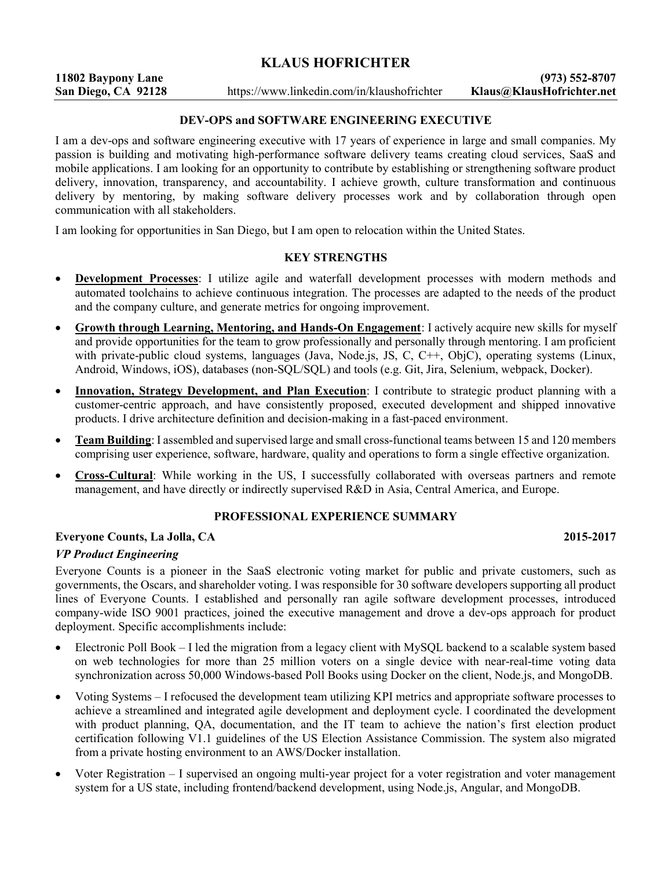# KLAUS HOFRICHTER

# DEV-OPS and SOFTWARE ENGINEERING EXECUTIVE

I am a dev-ops and software engineering executive with 17 years of experience in large and small companies. My passion is building and motivating high-performance software delivery teams creating cloud services, SaaS and mobile applications. I am looking for an opportunity to contribute by establishing or strengthening software product delivery, innovation, transparency, and accountability. I achieve growth, culture transformation and continuous delivery by mentoring, by making software delivery processes work and by collaboration through open communication with all stakeholders.

I am looking for opportunities in San Diego, but I am open to relocation within the United States.

#### KEY STRENGTHS

- Development Processes: I utilize agile and waterfall development processes with modern methods and automated toolchains to achieve continuous integration. The processes are adapted to the needs of the product and the company culture, and generate metrics for ongoing improvement.
- Growth through Learning, Mentoring, and Hands-On Engagement: I actively acquire new skills for myself and provide opportunities for the team to grow professionally and personally through mentoring. I am proficient with private-public cloud systems, languages (Java, Node.js, JS, C, C++, ObjC), operating systems (Linux, Android, Windows, iOS), databases (non-SQL/SQL) and tools (e.g. Git, Jira, Selenium, webpack, Docker).
- Innovation, Strategy Development, and Plan Execution: I contribute to strategic product planning with a customer-centric approach, and have consistently proposed, executed development and shipped innovative products. I drive architecture definition and decision-making in a fast-paced environment.
- Team Building: I assembled and supervised large and small cross-functional teams between 15 and 120 members comprising user experience, software, hardware, quality and operations to form a single effective organization.
- Cross-Cultural: While working in the US, I successfully collaborated with overseas partners and remote management, and have directly or indirectly supervised R&D in Asia, Central America, and Europe.

## PROFESSIONAL EXPERIENCE SUMMARY

## Everyone Counts, La Jolla, CA 2015-2017

## VP Product Engineering

Everyone Counts is a pioneer in the SaaS electronic voting market for public and private customers, such as governments, the Oscars, and shareholder voting. I was responsible for 30 software developers supporting all product lines of Everyone Counts. I established and personally ran agile software development processes, introduced company-wide ISO 9001 practices, joined the executive management and drove a dev-ops approach for product deployment. Specific accomplishments include:

- Electronic Poll Book I led the migration from a legacy client with MySQL backend to a scalable system based on web technologies for more than 25 million voters on a single device with near-real-time voting data synchronization across 50,000 Windows-based Poll Books using Docker on the client, Node.js, and MongoDB.
- Voting Systems I refocused the development team utilizing KPI metrics and appropriate software processes to achieve a streamlined and integrated agile development and deployment cycle. I coordinated the development with product planning, QA, documentation, and the IT team to achieve the nation's first election product certification following V1.1 guidelines of the US Election Assistance Commission. The system also migrated from a private hosting environment to an AWS/Docker installation.
- Voter Registration I supervised an ongoing multi-year project for a voter registration and voter management system for a US state, including frontend/backend development, using Node.js, Angular, and MongoDB.